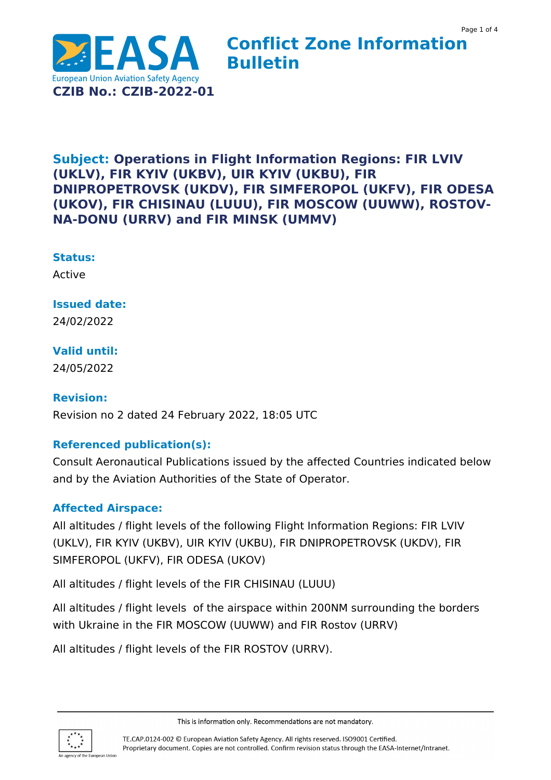

## **Conflict Zone Information Bulletin**

## **Subject: Operations in Flight Information Regions: FIR LVIV (UKLV), FIR KYIV (UKBV), UIR KYIV (UKBU), FIR DNIPROPETROVSK (UKDV), FIR SIMFEROPOL (UKFV), FIR ODESA (UKOV), FIR CHISINAU (LUUU), FIR MOSCOW (UUWW), ROSTOV-NA-DONU (URRV) and FIR MINSK (UMMV)**

#### **Status:**

Active

## **Issued date:**

24/02/2022

## **Valid until:**

24/05/2022

#### **Revision:**

Revision no 2 dated 24 February 2022, 18:05 UTC

## **Referenced publication(s):**

Consult Aeronautical Publications issued by the affected Countries indicated below and by the Aviation Authorities of the State of Operator.

#### **Affected Airspace:**

All altitudes / flight levels of the following Flight Information Regions: FIR LVIV (UKLV), FIR KYIV (UKBV), UIR KYIV (UKBU), FIR DNIPROPETROVSK (UKDV), FIR SIMFEROPOL (UKFV), FIR ODESA (UKOV)

All altitudes / flight levels of the FIR CHISINAU (LUUU)

All altitudes / flight levels of the airspace within 200NM surrounding the borders with Ukraine in the FIR MOSCOW (UUWW) and FIR Rostov (URRV)

All altitudes / flight levels of the FIR ROSTOV (URRV).

This is information only. Recommendations are not mandatory.

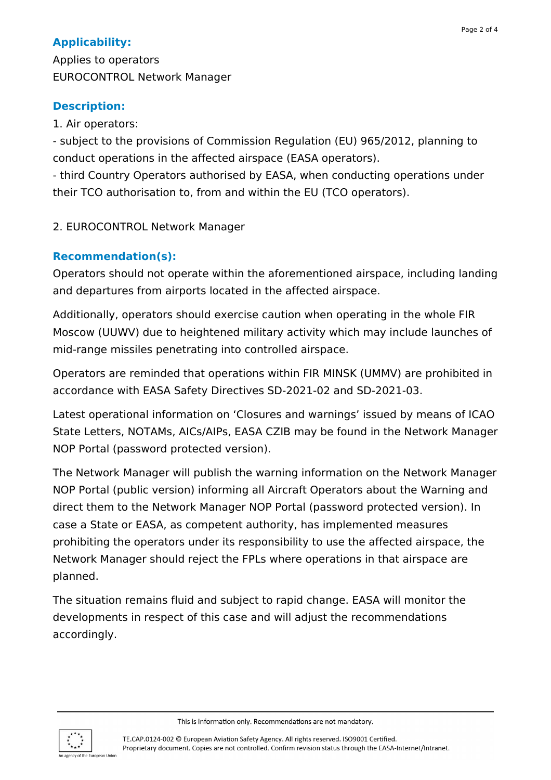## **Applicability:**

Applies to operators EUROCONTROL Network Manager

## **Description:**

1. Air operators:

- subject to the provisions of Commission Regulation (EU) 965/2012, planning to conduct operations in the affected airspace (EASA operators).

- third Country Operators authorised by EASA, when conducting operations under their TCO authorisation to, from and within the EU (TCO operators).

## 2. EUROCONTROL Network Manager

## **Recommendation(s):**

Operators should not operate within the aforementioned airspace, including landing and departures from airports located in the affected airspace.

Additionally, operators should exercise caution when operating in the whole FIR Moscow (UUWV) due to heightened military activity which may include launches of mid-range missiles penetrating into controlled airspace.

Operators are reminded that operations within FIR MINSK (UMMV) are prohibited in accordance with EASA Safety Directives SD-2021-02 and SD-2021-03.

Latest operational information on 'Closures and warnings' issued by means of ICAO State Letters, NOTAMs, AICs/AIPs, EASA CZIB may be found in the Network Manager NOP Portal (password protected version).

The Network Manager will publish the warning information on the Network Manager NOP Portal (public version) informing all Aircraft Operators about the Warning and direct them to the Network Manager NOP Portal (password protected version). In case a State or EASA, as competent authority, has implemented measures prohibiting the operators under its responsibility to use the affected airspace, the Network Manager should reject the FPLs where operations in that airspace are planned.

The situation remains fluid and subject to rapid change. EASA will monitor the developments in respect of this case and will adjust the recommendations accordingly.





TE.CAP.0124-002 © European Aviation Safety Agency. All rights reserved. ISO9001 Certified. Proprietary document. Copies are not controlled. Confirm revision status through the EASA-Internet/Intranet.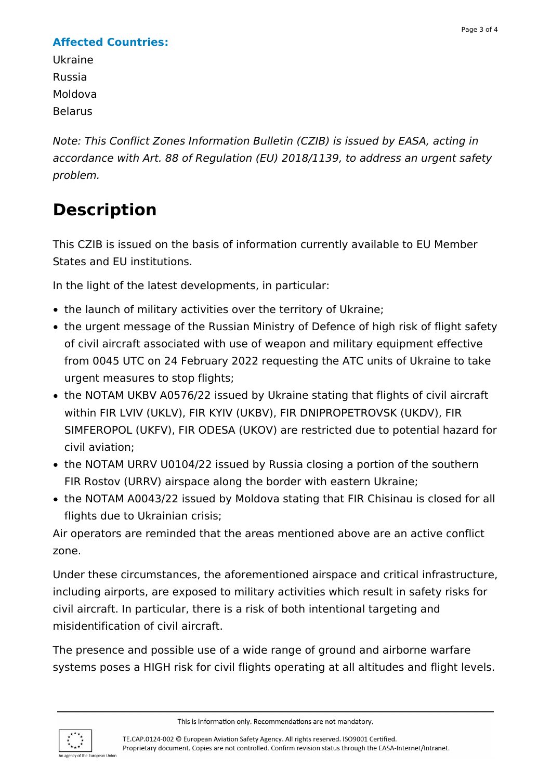## **Affected Countries:**

Ukraine Russia Moldova Belarus

Note: This Conflict Zones Information Bulletin (CZIB) is issued by EASA, acting in accordance with Art. 88 of Regulation (EU) 2018/1139, to address an urgent safety problem.

# **Description**

This CZIB is issued on the basis of information currently available to EU Member States and EU institutions.

In the light of the latest developments, in particular:

- the launch of military activities over the territory of Ukraine;
- the urgent message of the Russian Ministry of Defence of high risk of flight safety of civil aircraft associated with use of weapon and military equipment effective from 0045 UTC on 24 February 2022 requesting the ATC units of Ukraine to take urgent measures to stop flights;
- the NOTAM UKBV A0576/22 issued by Ukraine stating that flights of civil aircraft within FIR LVIV (UKLV), FIR KYIV (UKBV), FIR DNIPROPETROVSK (UKDV), FIR SIMFEROPOL (UKFV), FIR ODESA (UKOV) are restricted due to potential hazard for civil aviation;
- the NOTAM URRV U0104/22 issued by Russia closing a portion of the southern FIR Rostov (URRV) airspace along the border with eastern Ukraine;
- the NOTAM A0043/22 issued by Moldova stating that FIR Chisinau is closed for all flights due to Ukrainian crisis;

Air operators are reminded that the areas mentioned above are an active conflict zone.

Under these circumstances, the aforementioned airspace and critical infrastructure, including airports, are exposed to military activities which result in safety risks for civil aircraft. In particular, there is a risk of both intentional targeting and misidentification of civil aircraft.

The presence and possible use of a wide range of ground and airborne warfare systems poses a HIGH risk for civil flights operating at all altitudes and flight levels.

This is information only. Recommendations are not mandatory.